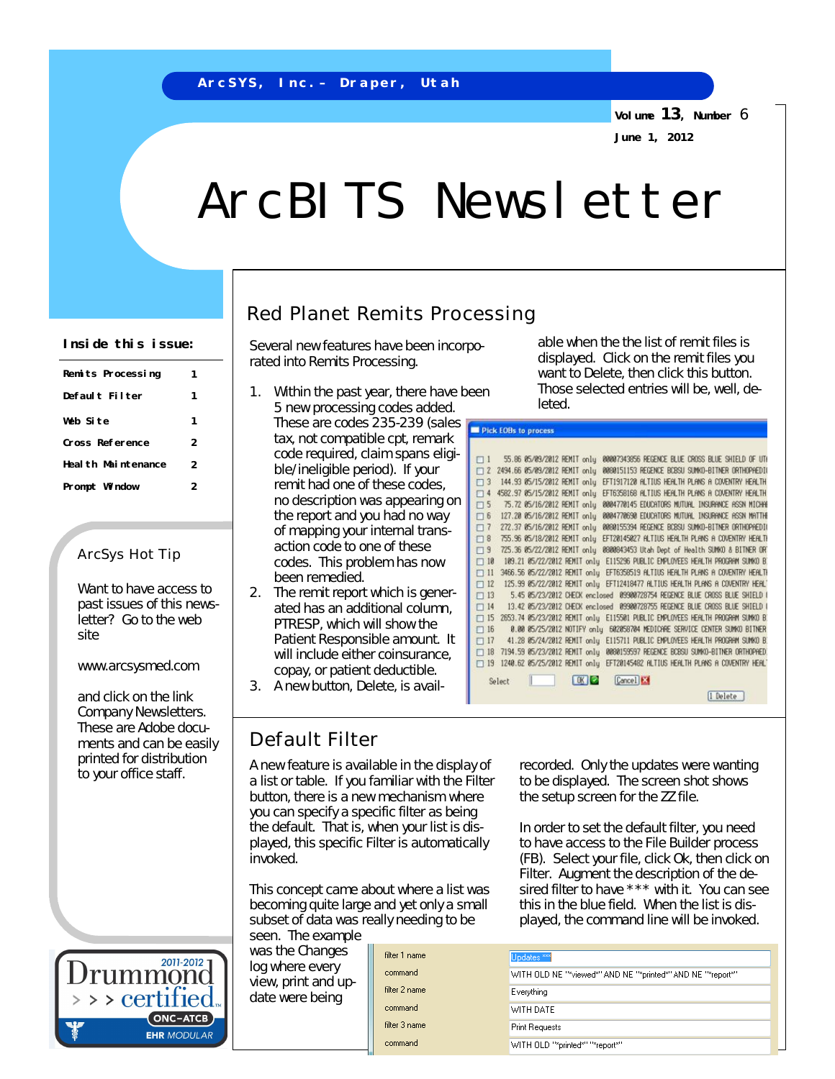**Volume 13, Number** 6 **June 1, 2012**

# ArcBITS Newsletter

| Remits Processing   |                |
|---------------------|----------------|
| Default Filter      | 1              |
| Web Site            | 1              |
| Cross Reference     | 2              |
| Heal th Maintenance | 2              |
| Prompt Window       | $\overline{2}$ |
|                     |                |

## ArcSys Hot Tip

Want to have access to past issues of this newsletter? Go to the web site

### [www.arcsysmed.com](http://www.arcsysmed.com)

and click on the link Company Newsletters. These are Adobe documents and can be easily printed for distribution to your office staff.



# Red Planet Remits Processing

rated into Remits Processing.

- 1. Within the past year, there have been 5 new processing codes added. These are codes 235-239 (sales tax, not compatible cpt, remark code required, claim spans eligible/ineligible period). If your remit had one of these codes, no description was appearing on the report and you had no way of mapping your internal transaction code to one of these codes. This problem has now been remedied.
- 2. The remit report which is generated has an additional column, PTRESP, which will show the Patient Responsible amount. It will include either coinsurance. copay, or patient deductible.
- 3. A new button, Delete, is avail-

# Default Filter

A new feature is available in the display of a list or table. If you familiar with the Filter button, there is a new mechanism where you can specify a specific filter as being the default. That is, when your list is displayed, this specific Filter is automatically invoked.

This concept came about where a list was becoming quite large and yet only a small subset of data was really needing to be seen. The example

was the Changes log where every view, print and update were being

filter 1 name command filter 2 name command filter 3 name command

Inside this issue: Several new features have been incorpo- able when the the list of remit files is displayed. Click on the remit files you want to Delete, then click this button. Those selected entries will be, well, deleted.

| $\Box$              |        | 55.86 05/09/2012 REMIT only   |  | 00007343856 REGENCE BLUE CROSS BLUE SHIELD OF UTH                              |
|---------------------|--------|-------------------------------|--|--------------------------------------------------------------------------------|
| $\Box$ 2            |        | 2494.66 05/09/2012 REMIT only |  | 0080151153 REGENCE BCBSU SUMKO-BITNER ORTHOPAEDI                               |
| $\Box$ 3            |        | 144.93 05/15/2012 REMIT only  |  | EFT1917120 ALTIUS HEALTH PLANS A COVENTRY HEALTH                               |
| $\Box$ 4            |        | 4582.97 05/15/2012 REMIT only |  | EFT6358168 ALTIUS HEALTH PLANS A COVENTRY HEALTH                               |
| $\Box$ 5            |        | 75.72 05/16/2012 REMIT only   |  | 0004770145 EDUCATORS MUTUAL INSURANCE ASSN MICHAE                              |
| $\Box$ 6            |        | 127.20 05/16/2012 REMIT only  |  | 0004770690 EDUCATORS MUTUAL INSURANCE ASSN MATTHE                              |
| $\Box$ 7            |        | 272.37 05/16/2012 REMIT only  |  | 0080155394 REGENCE BCBSU SUMKO-BITNER ORTHOPAEDI                               |
| $\Box$ 8            |        | 755.96 05/18/2012 REMIT only  |  | EFT20145027 ALTIUS HEALTH PLANS A COVENTRY HEALTH                              |
|                     |        |                               |  |                                                                                |
| $\Box$ <sup>9</sup> |        | 725.36 05/22/2012 REMIT only  |  | 0800843453 Utah Dept of Health SUMKO & BITNER OR'                              |
| $\Box$ 18           |        | 109.21 05/22/2012 REMIT only  |  | E115296 PUBLIC EMPLOYEES HEALTH PROGRAM SUMKO B                                |
| $\Box$ 11           |        |                               |  | 3466.56 85/22/2012 RENIT only EFT6358519 ALTIUS HEALTH PLANS A COVENTRY HEALTH |
| $\Box$ 12           |        |                               |  | 125.99 85/22/2012 REMIT only EFT12418477 ALTIUS HEALTH PLANS A COVENTRY HEAL'  |
| $\Box$ 13           |        |                               |  | 5.45 85/23/2012 CHECK enclosed 09900728754 REGENCE BLUE CROSS BLUE SHIELD (    |
| $\Box$ 14           |        |                               |  | 13.42 05/23/2012 CHECK enclosed 09900728755 REGENCE BLUE CROSS BLUE SHIELD (   |
| $\Box$ 15           |        |                               |  | 2653.74 05/23/2012 REMIT only E115501 PUBLIC EMPLOYEES HEALTH PROGRAM SUMKO B. |
| $\Box$ 16           |        |                               |  | 0.00 05/25/2012 NOTIFY only 602058704 MEDICARE SERVICE CENTER SUMKO BITNER     |
| $\Box$ 17           |        |                               |  | 41.28 05/24/2012 REMIT only E115711 PUBLIC EMPLOYEES HEALTH PROGRAM SUMKO B    |
| $\Box$ 18           |        |                               |  | 7194.59 05/23/2012 REMIT only 0080159597 REGENCE BCBSU SUMKO-BITNER ORTHOPHED  |
| $\Box$ 19           |        |                               |  | 1240.62 85/25/2012 REMIT only EFT20145482 ALTIUS HEALTH PLANS A COVENTRY HEAL' |
|                     |        |                               |  |                                                                                |
|                     | Select |                               |  | Cancel   <b>EX</b>                                                             |

[I Delete]

recorded. Only the updates were wanting to be displayed. The screen shot shows the setup screen for the ZZ file.

In order to set the default filter, you need to have access to the File Builder process (FB). Select your file, click Ok, then click on Filter. Augment the description of the desired filter to have \*\*\* with it. You can see this in the blue field. When the list is displayed, the command line will be invoked.

| Updates <sup>***</sup> |                                                             |
|------------------------|-------------------------------------------------------------|
|                        | WITH OLD NE "*viewed*" AND NE "*printed*" AND NE "*report*" |
| Everything             |                                                             |
| WITH DATE              |                                                             |
| <b>Print Requests</b>  |                                                             |
|                        | WITH OLD "*printed*" "*report*"                             |